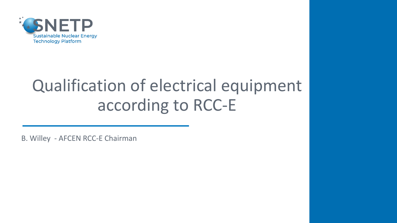

# Qualification of electrical equipment according to RCC-E

B. Willey - AFCEN RCC-E Chairman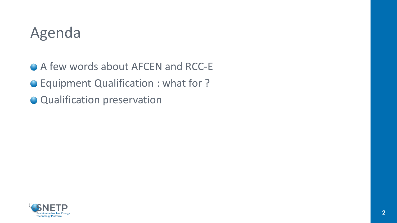## Agenda

● A few words about AFCEN and RCC-E

Equipment Qualification : what for ?

**Qualification preservation** 

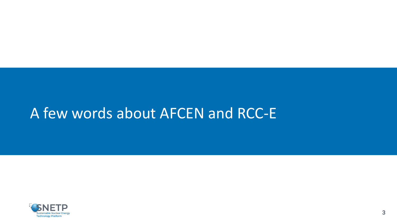## <span id="page-2-0"></span>A few words about AFCEN and RCC-E

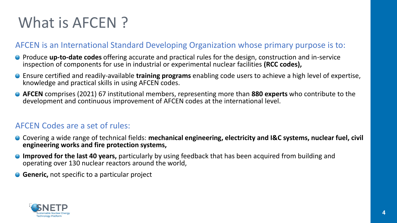# What is AFCEN?

#### AFCEN is an International Standard Developing Organization whose primary purpose is to:

- Produce **up-to-date codes** offering accurate and practical rules for the design, construction and in-service inspection of components for use in industrial or experimental nuclear facilities **(RCC codes),**
- Ensure certified and readily-available **training programs** enabling code users to achieve a high level of expertise, knowledge and practical skills in using AFCEN codes.
- **AFCEN** comprises (2021) 67 institutional members, representing more than **880 experts** who contribute to the development and continuous improvement of AFCEN codes at the international level.

#### AFCEN Codes are a set of rules:

- Covering a wide range of technical fields: mechanical engineering, electricity and I&C systems, nuclear fuel, civil **engineering works and fire protection systems,**
- **Improved for the last 40 years,** particularly by using feedback that has been acquired from building and operating over 130 nuclear reactors around the world,
- **Generic,** not specific to a particular project

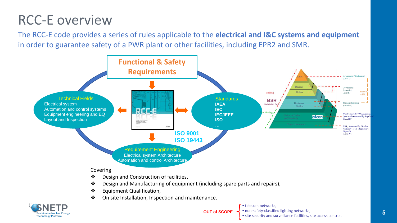### RCC-E overview

The RCC-E code provides a series of rules applicable to the **electrical and I&C systems and equipment**  in order to guarantee safety of a PWR plant or other facilities, including EPR2 and SMR.





**OUT of SCOPE**

• telecom networks,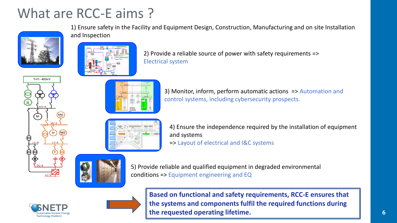#### What are RCC-E aims ?



**THT-400kV** 

1) Ensure safety in the Facility and Equipment Design, Construction, Manufacturing and on site Installation and Inspection



2) Provide a reliable source of power with safety requirements => Electrical system



3) Monitor, inform, perform automatic actions => Automation and control systems, including cybersecurity prospects.



4) Ensure the independence required by the installation of equipment and systems => Layout of electrical and I&C systems



5) Provide reliable and qualified equipment in degraded environmental conditions => Equipment engineering and EQ





**Based on functional and safety requirements, RCC-E ensures that the systems and components fulfil the required functions during the requested operating lifetime.**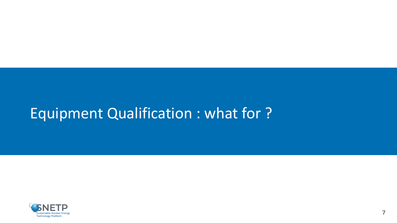## <span id="page-6-0"></span>Equipment Qualification : what for ?

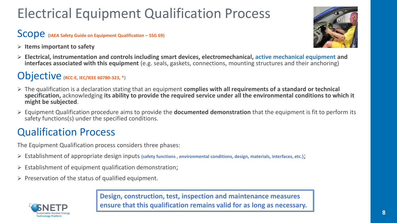## Electrical Equipment Qualification Process

#### Scope (**IAEA Safety Guide on Equipment Qualification – SSG 69**)

➢ **Items important to safety**



➢ **Electrical, instrumentation and controls including smart devices, electromechanical, active mechanical equipment and interfaces associated with this equipment** (e.g. seals, gaskets, connections, mounting structures and their anchoring)

#### Objective (**RCC-E, IEC/IEEE 60780-323, \***)

- ➢ The qualification is a declaration stating that an equipment **complies with all requirements of a standard or technical specification,** acknowledging **its ability to provide the required service under all the environmental conditions to which it might be subjected**.
- ➢ Equipment Qualification procedure aims to provide the **documented demonstration** that the equipment is fit to perform its safety functions(s) under the specified conditions.

#### Qualification Process

The Equipment Qualification process considers three phases:

- ➢ Establishment of appropriate design inputs **(safety functions , environmental conditions, design, materials, interfaces, etc.)**;
- $\triangleright$  Establishment of equipment qualification demonstration;
- $\triangleright$  Preservation of the status of qualified equipment.



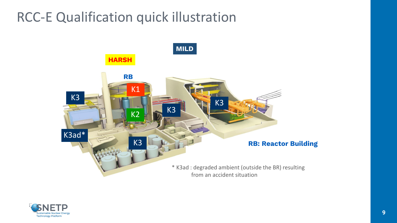#### RCC-E Qualification quick illustration



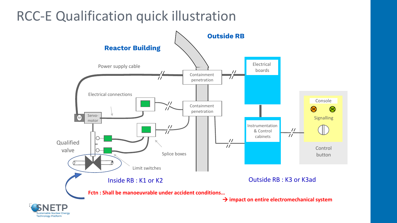#### RCC-E Qualification quick illustration

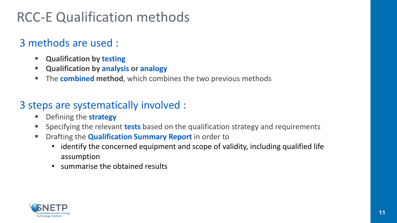### RCC-E Qualification methods

#### 3 methods are used :

- **Qualification by testing**
- **Qualification by analysis or analogy**
- The **combined method**, which combines the two previous methods

#### 3 steps are systematically involved :

- **Defining the strategy**
- Specifying the relevant **tests** based on the qualification strategy and requirements
- **EXP** Drafting the **Qualification Summary Report** in order to
	- identify the concerned equipment and scope of validity, including qualified life assumption
	- summarise the obtained results

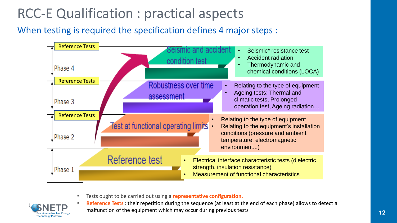### RCC-E Qualification : practical aspects

#### When testing is required the specification defines 4 major steps :



• Tests ought to be carried out using a **representative configuration.**



• **Reference Tests** : their repetition during the sequence (at least at the end of each phase) allows to detect a malfunction of the equipment which may occur during previous tests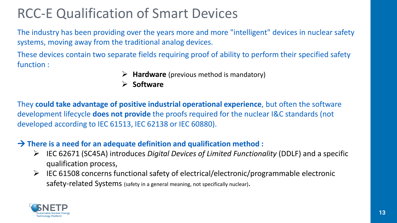### RCC-E Qualification of Smart Devices

The industry has been providing over the years more and more "intelligent" devices in nuclear safety systems, moving away from the traditional analog devices.

These devices contain two separate fields requiring proof of ability to perform their specified safety function :

- ➢ **Hardware** (previous method is mandatory)
- ➢ **Software**

They **could take advantage of positive industrial operational experience**, but often the software development lifecycle **does not provide** the proofs required for the nuclear I&C standards (not developed according to IEC 61513, IEC 62138 or IEC 60880).

#### → **There is a need for an adequate definition and qualification method :**

- ➢ IEC 62671 (SC45A) introduces *Digital Devices of Limited Functionality* (DDLF) and a specific qualification process,
- ➢ IEC 61508 concerns functional safety of electrical/electronic/programmable electronic safety-related Systems (safety in a general meaning, not specifically nuclear).

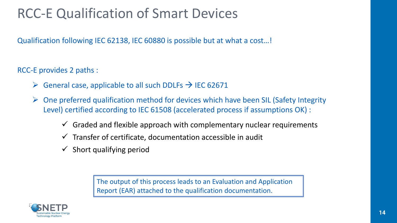### RCC-E Qualification of Smart Devices

Qualification following IEC 62138, IEC 60880 is possible but at what a cost…!

RCC-E provides 2 paths :

- $\triangleright$  General case, applicable to all such DDLFs  $\rightarrow$  IEC 62671
- $\triangleright$  One preferred qualification method for devices which have been SIL (Safety Integrity Level) certified according to IEC 61508 (accelerated process if assumptions OK) :
	- $\checkmark$  Graded and flexible approach with complementary nuclear requirements
	- $\checkmark$  Transfer of certificate, documentation accessible in audit
	- $\checkmark$  Short qualifying period

The output of this process leads to an Evaluation and Application Report (EAR) attached to the qualification documentation.

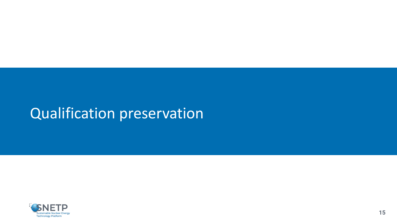## Qualification preservation

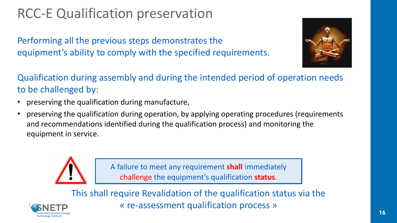### RCC-E Qualification preservation

Performing all the previous steps demonstrates the equipment's ability to comply with the specified requirements.



Qualification during assembly and during the intended period of operation needs to be challenged by:

- preserving the qualification during manufacture,
- preserving the qualification during operation, by applying operating procedures (requirements and recommendations identified during the qualification process) and monitoring the equipment in service.



A failure to meet any requirement **shall** immediately challenge the equipment's qualification **status**.

This shall require Revalidation of the qualification status via the « re-assessment qualification process »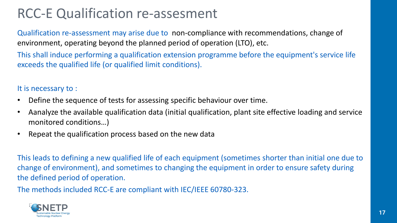### RCC-E Qualification re-assesment

Qualification re-assessment may arise due to non-compliance with recommendations, change of environment, operating beyond the planned period of operation (LTO), etc.

This shall induce performing a qualification extension programme before the equipment's service life exceeds the qualified life (or qualified limit conditions).

It is necessary to :

- Define the sequence of tests for assessing specific behaviour over time.
- Aanalyze the available qualification data (initial qualification, plant site effective loading and service monitored conditions…)
- Repeat the qualification process based on the new data

This leads to defining a new qualified life of each equipment (sometimes shorter than initial one due to change of environment), and sometimes to changing the equipment in order to ensure safety during the defined period of operation.

The methods included RCC-E are compliant with IEC/IEEE 60780-323.

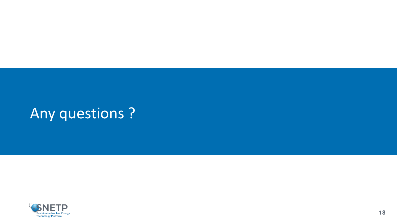# Any questions ?